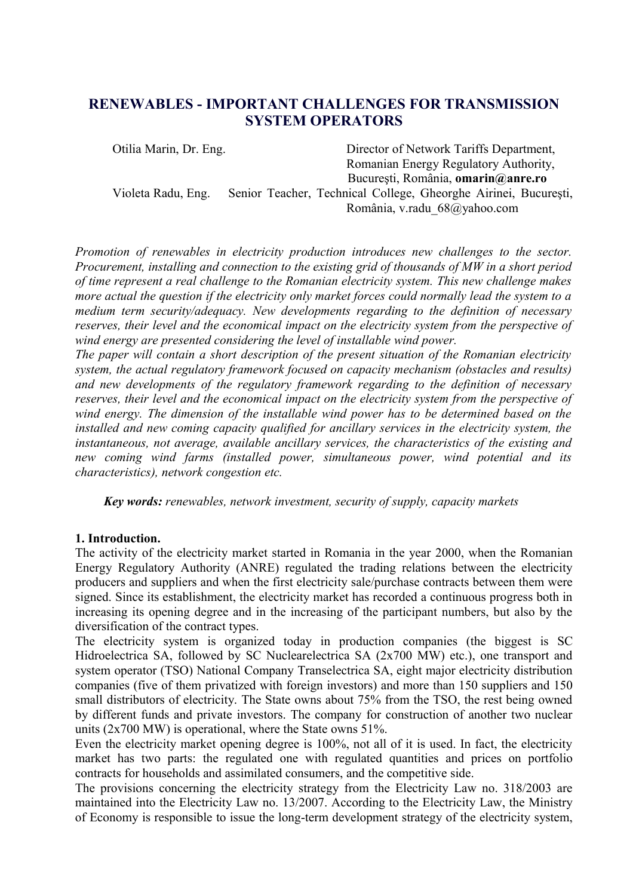# **RENEWABLES - IMPORTANT CHALLENGES FOR TRANSMISSION SYSTEM OPERATORS**

Otilia Marin, Dr. Eng. Director of Network Tariffs Department, Romanian Energy Regulatory Authority, Bucureşti, România, **[omarin@anre.ro](mailto:omarin@anre.ro)** Violeta Radu, Eng. Senior Teacher, Technical College, Gheorghe Airinei, Bucureşti, România, v.radu\_68@yahoo.com

*Promotion of renewables in electricity production introduces new challenges to the sector. Procurement, installing and connection to the existing grid of thousands of MW in a short period of time represent a real challenge to the Romanian electricity system. This new challenge makes more actual the question if the electricity only market forces could normally lead the system to a medium term security/adequacy. New developments regarding to the definition of necessary reserves, their level and the economical impact on the electricity system from the perspective of wind energy are presented considering the level of installable wind power.*

*The paper will contain a short description of the present situation of the Romanian electricity system, the actual regulatory framework focused on capacity mechanism (obstacles and results) and new developments of the regulatory framework regarding to the definition of necessary reserves, their level and the economical impact on the electricity system from the perspective of wind energy. The dimension of the installable wind power has to be determined based on the installed and new coming capacity qualified for ancillary services in the electricity system, the instantaneous, not average, available ancillary services, the characteristics of the existing and new coming wind farms (installed power, simultaneous power, wind potential and its characteristics), network congestion etc.*

*Key words: renewables, network investment, security of supply, capacity markets*

#### **1. Introduction.**

The activity of the electricity market started in Romania in the year 2000, when the Romanian Energy Regulatory Authority (ANRE) regulated the trading relations between the electricity producers and suppliers and when the first electricity sale/purchase contracts between them were signed. Since its establishment, the electricity market has recorded a continuous progress both in increasing its opening degree and in the increasing of the participant numbers, but also by the diversification of the contract types.

The electricity system is organized today in production companies (the biggest is SC Hidroelectrica SA, followed by SC Nuclearelectrica SA (2x700 MW) etc.), one transport and system operator (TSO) National Company Transelectrica SA, eight major electricity distribution companies (five of them privatized with foreign investors) and more than 150 suppliers and 150 small distributors of electricity. The State owns about 75% from the TSO, the rest being owned by different funds and private investors. The company for construction of another two nuclear units (2x700 MW) is operational, where the State owns 51%.

Even the electricity market opening degree is 100%, not all of it is used. In fact, the electricity market has two parts: the regulated one with regulated quantities and prices on portfolio contracts for households and assimilated consumers, and the competitive side.

The provisions concerning the electricity strategy from the Electricity Law no. 318/2003 are maintained into the Electricity Law no. 13/2007. According to the Electricity Law, the Ministry of Economy is responsible to issue the long-term development strategy of the electricity system,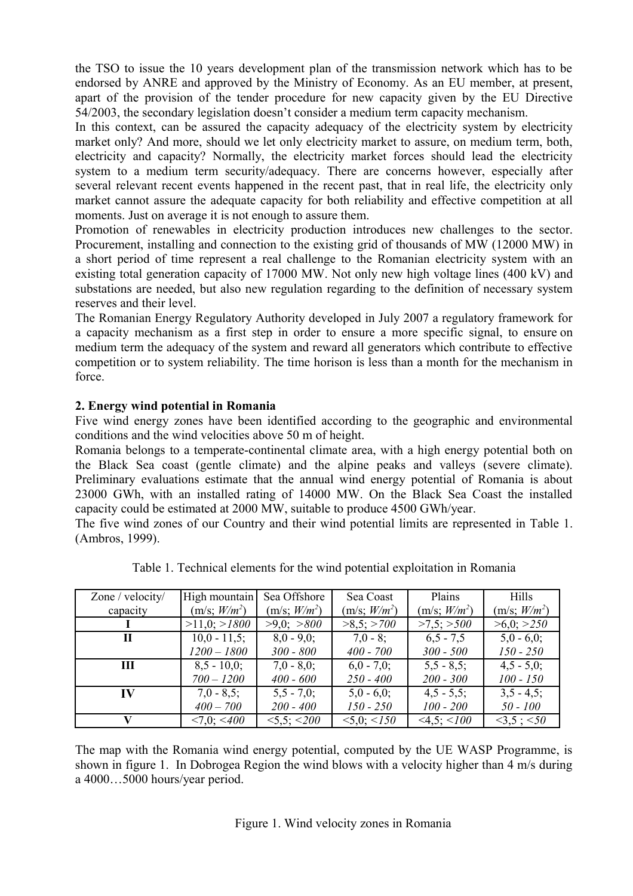the TSO to issue the 10 years development plan of the transmission network which has to be endorsed by ANRE and approved by the Ministry of Economy. As an EU member, at present, apart of the provision of the tender procedure for new capacity given by the EU Directive 54/2003, the secondary legislation doesn't consider a medium term capacity mechanism.

In this context, can be assured the capacity adequacy of the electricity system by electricity market only? And more, should we let only electricity market to assure, on medium term, both, electricity and capacity? Normally, the electricity market forces should lead the electricity system to a medium term security/adequacy. There are concerns however, especially after several relevant recent events happened in the recent past, that in real life, the electricity only market cannot assure the adequate capacity for both reliability and effective competition at all moments. Just on average it is not enough to assure them.

Promotion of renewables in electricity production introduces new challenges to the sector. Procurement, installing and connection to the existing grid of thousands of MW (12000 MW) in a short period of time represent a real challenge to the Romanian electricity system with an existing total generation capacity of 17000 MW. Not only new high voltage lines (400 kV) and substations are needed, but also new regulation regarding to the definition of necessary system reserves and their level.

The Romanian Energy Regulatory Authority developed in July 2007 a regulatory framework for a capacity mechanism as a first step in order to ensure a more specific signal, to ensure on medium term the adequacy of the system and reward all generators which contribute to effective competition or to system reliability. The time horison is less than a month for the mechanism in force.

## **2. Energy wind potential in Romania**

Five wind energy zones have been identified according to the geographic and environmental conditions and the wind velocities above 50 m of height.

Romania belongs to a temperate-continental climate area, with a high energy potential both on the Black Sea coast (gentle climate) and the alpine peaks and valleys (severe climate). Preliminary evaluations estimate that the annual wind energy potential of Romania is about 23000 GWh, with an installed rating of 14000 MW. On the Black Sea Coast the installed capacity could be estimated at 2000 MW, suitable to produce 4500 GWh/year.

The five wind zones of our Country and their wind potential limits are represented in Table 1. (Ambros, 1999).

| Zone / velocity/ | High mountain            | Sea Offshore             | Sea Coast                | Plains                   | Hills                    |
|------------------|--------------------------|--------------------------|--------------------------|--------------------------|--------------------------|
| capacity         | (m/s; W/m <sup>2</sup> ) | (m/s; W/m <sup>2</sup> ) | (m/s; W/m <sup>2</sup> ) | (m/s; W/m <sup>2</sup> ) | (m/s; W/m <sup>2</sup> ) |
|                  | >11,0; >1800             | $>9.0$ ; $>800$          | $>8,5$ ; $>700$          | $>7.5$ ; $>500$          | >6,0; >250               |
| Н                | $10,0 - 11,5$ ;          | $8,0 - 9,0;$             | $7.0 - 8$ ;              | $6,5 - 7,5$              | $5.0 - 6.0$ ;            |
|                  | $1200 - 1800$            | $300 - 800$              | $400 - 700$              | $300 - 500$              | $150 - 250$              |
| Ш                | $8.5 - 10.0$ ;           | $7.0 - 8.0$ ;            | $6,0 - 7,0$ ;            | $5,5 - 8,5;$             | $4,5 - 5,0$ ;            |
|                  | $700 - 1200$             | $400 - 600$              | $250 - 400$              | $200 - 300$              | $100 - 150$              |
| IV               | $7.0 - 8.5$ ;            | $5,5 - 7,0;$             | $5.0 - 6.0$ ;            | $4,5 - 5,5$ ;            | $3,5 - 4,5$ ;            |
|                  | $400 - 700$              | $200 - 400$              | $150 - 250$              | $100 - 200$              | $50 - 100$               |
|                  | $\leq 7.0$ ; $\leq 400$  | $<5.5$ ; $<200$          | $< 5.0$ ; $< 150$        | $<4.5$ ; $<100$          | $<3,5$ ; $<50$           |

Table 1. Technical elements for the wind potential exploitation in Romania

The map with the Romania wind energy potential, computed by the UE WASP Programme, is shown in figure 1. In Dobrogea Region the wind blows with a velocity higher than 4 m/s during a 4000…5000 hours/year period.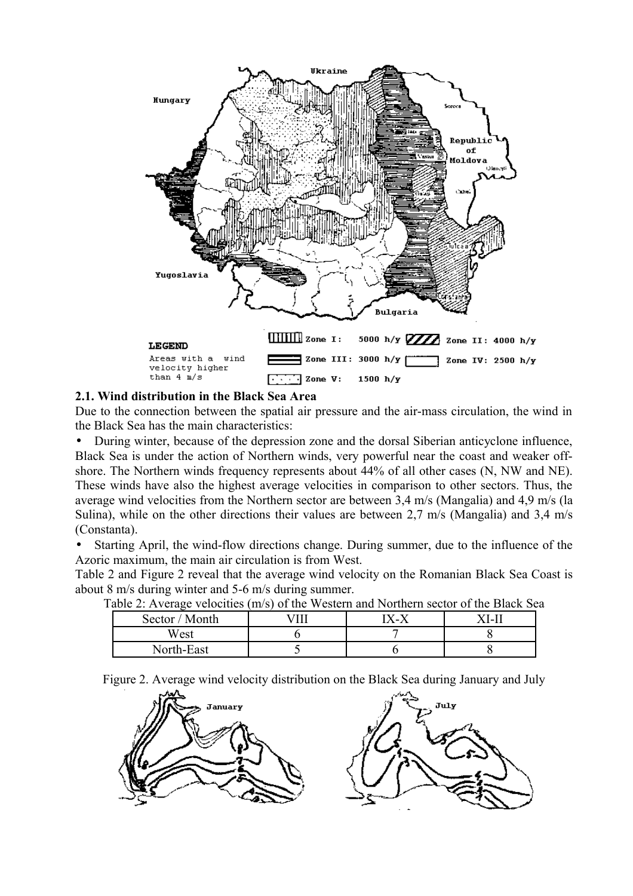

#### **2.1. Wind distribution in the Black Sea Area**

Due to the connection between the spatial air pressure and the air-mass circulation, the wind in the Black Sea has the main characteristics:

• During winter, because of the depression zone and the dorsal Siberian anticyclone influence, Black Sea is under the action of Northern winds, very powerful near the coast and weaker offshore. The Northern winds frequency represents about 44% of all other cases (N, NW and NE). These winds have also the highest average velocities in comparison to other sectors. Thus, the average wind velocities from the Northern sector are between 3,4 m/s (Mangalia) and 4,9 m/s (la Sulina), while on the other directions their values are between 2,7 m/s (Mangalia) and 3,4 m/s (Constanta).

• Starting April, the wind-flow directions change. During summer, due to the influence of the Azoric maximum, the main air circulation is from West.

Table 2 and Figure 2 reveal that the average wind velocity on the Romanian Black Sea Coast is about 8 m/s during winter and 5-6 m/s during summer.

| abic 2. Average velocities (hi) s) of the western and fiorthem sector of the Diack Be |       |        |
|---------------------------------------------------------------------------------------|-------|--------|
| Sector / Month                                                                        | x – x | X I-II |
| West                                                                                  |       |        |
| North-East                                                                            |       |        |

Table 2: Average velocities (m/s) of the Western and Northern sector of the Black Sea

Figure 2. Average wind velocity distribution on the Black Sea during January and July

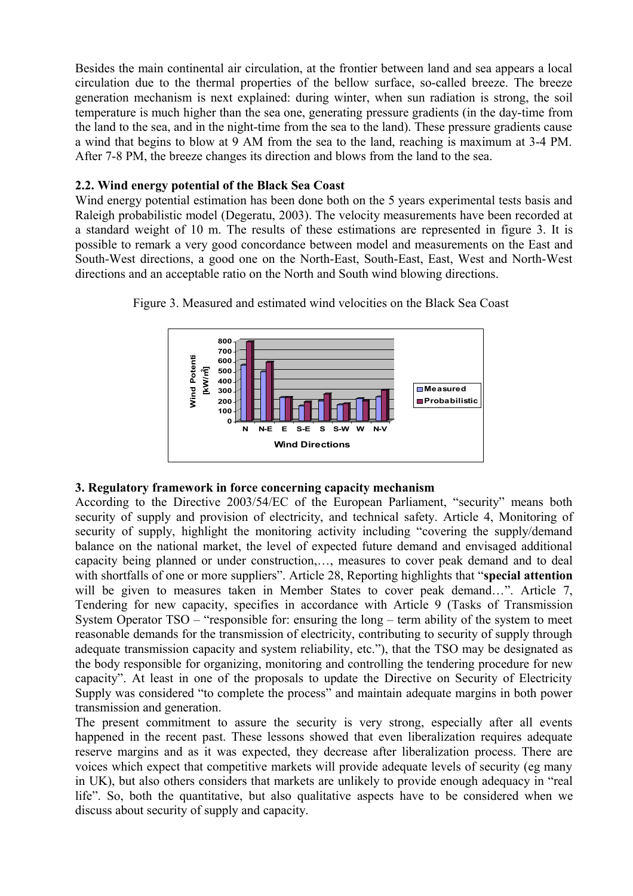Besides the main continental air circulation, at the frontier between land and sea appears a local circulation due to the thermal properties of the bellow surface, so-called breeze. The breeze generation mechanism is next explained: during winter, when sun radiation is strong, the soil temperature is much higher than the sea one, generating pressure gradients (in the day-time from the land to the sea, and in the night-time from the sea to the land). These pressure gradients cause a wind that begins to blow at 9 AM from the sea to the land, reaching is maximum at 3-4 PM. After 7-8 PM, the breeze changes its direction and blows from the land to the sea.

## **2.2. Wind energy potential of the Black Sea Coast**

Wind energy potential estimation has been done both on the 5 years experimental tests basis and Raleigh probabilistic model (Degeratu, 2003). The velocity measurements have been recorded at a standard weight of 10 m. The results of these estimations are represented in figure 3. It is possible to remark a very good concordance between model and measurements on the East and South-West directions, a good one on the North-East, South-East, East, West and North-West directions and an acceptable ratio on the North and South wind blowing directions.





## **3. Regulatory framework in force concerning capacity mechanism**

According to the Directive 2003/54/EC of the European Parliament, "security" means both security of supply and provision of electricity, and technical safety. Article 4, Monitoring of security of supply, highlight the monitoring activity including "covering the supply/demand balance on the national market, the level of expected future demand and envisaged additional capacity being planned or under construction,…, measures to cover peak demand and to deal with shortfalls of one or more suppliers". Article 28, Reporting highlights that "**special attention** will be given to measures taken in Member States to cover peak demand...". Article 7, Tendering for new capacity, specifies in accordance with Article 9 (Tasks of Transmission System Operator TSO – "responsible for: ensuring the long – term ability of the system to meet reasonable demands for the transmission of electricity, contributing to security of supply through adequate transmission capacity and system reliability, etc."), that the TSO may be designated as the body responsible for organizing, monitoring and controlling the tendering procedure for new capacity". At least in one of the proposals to update the Directive on Security of Electricity Supply was considered "to complete the process" and maintain adequate margins in both power transmission and generation.

The present commitment to assure the security is very strong, especially after all events happened in the recent past. These lessons showed that even liberalization requires adequate reserve margins and as it was expected, they decrease after liberalization process. There are voices which expect that competitive markets will provide adequate levels of security (eg many in UK), but also others considers that markets are unlikely to provide enough adequacy in "real life". So, both the quantitative, but also qualitative aspects have to be considered when we discuss about security of supply and capacity.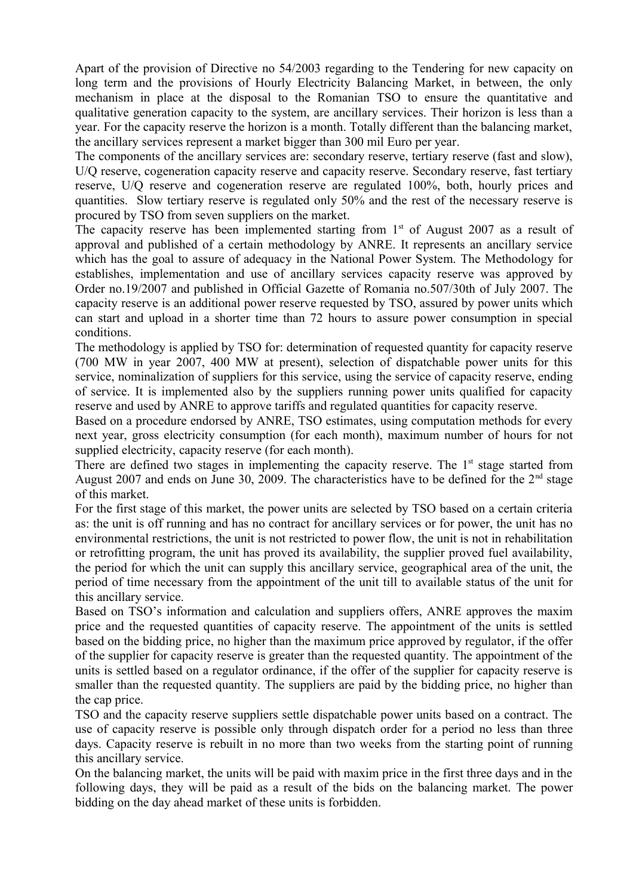Apart of the provision of Directive no 54/2003 regarding to the Tendering for new capacity on long term and the provisions of Hourly Electricity Balancing Market, in between, the only mechanism in place at the disposal to the Romanian TSO to ensure the quantitative and qualitative generation capacity to the system, are ancillary services. Their horizon is less than a year. For the capacity reserve the horizon is a month. Totally different than the balancing market, the ancillary services represent a market bigger than 300 mil Euro per year.

The components of the ancillary services are: secondary reserve, tertiary reserve (fast and slow), U/Q reserve, cogeneration capacity reserve and capacity reserve. Secondary reserve, fast tertiary reserve, U/Q reserve and cogeneration reserve are regulated 100%, both, hourly prices and quantities. Slow tertiary reserve is regulated only 50% and the rest of the necessary reserve is procured by TSO from seven suppliers on the market.

The capacity reserve has been implemented starting from  $1<sup>st</sup>$  of August 2007 as a result of approval and published of a certain methodology by ANRE. It represents an ancillary service which has the goal to assure of adequacy in the National Power System. The Methodology for establishes, implementation and use of ancillary services capacity reserve was approved by Order no.19/2007 and published in Official Gazette of Romania no.507/30th of July 2007. The capacity reserve is an additional power reserve requested by TSO, assured by power units which can start and upload in a shorter time than 72 hours to assure power consumption in special conditions.

The methodology is applied by TSO for: determination of requested quantity for capacity reserve (700 MW in year 2007, 400 MW at present), selection of dispatchable power units for this service, nominalization of suppliers for this service, using the service of capacity reserve, ending of service. It is implemented also by the suppliers running power units qualified for capacity reserve and used by ANRE to approve tariffs and regulated quantities for capacity reserve.

Based on a procedure endorsed by ANRE, TSO estimates, using computation methods for every next year, gross electricity consumption (for each month), maximum number of hours for not supplied electricity, capacity reserve (for each month).

There are defined two stages in implementing the capacity reserve. The  $1<sup>st</sup>$  stage started from August 2007 and ends on June 30, 2009. The characteristics have to be defined for the  $2<sup>nd</sup>$  stage of this market.

For the first stage of this market, the power units are selected by TSO based on a certain criteria as: the unit is off running and has no contract for ancillary services or for power, the unit has no environmental restrictions, the unit is not restricted to power flow, the unit is not in rehabilitation or retrofitting program, the unit has proved its availability, the supplier proved fuel availability, the period for which the unit can supply this ancillary service, geographical area of the unit, the period of time necessary from the appointment of the unit till to available status of the unit for this ancillary service.

Based on TSO's information and calculation and suppliers offers, ANRE approves the maxim price and the requested quantities of capacity reserve. The appointment of the units is settled based on the bidding price, no higher than the maximum price approved by regulator, if the offer of the supplier for capacity reserve is greater than the requested quantity. The appointment of the units is settled based on a regulator ordinance, if the offer of the supplier for capacity reserve is smaller than the requested quantity. The suppliers are paid by the bidding price, no higher than the cap price.

TSO and the capacity reserve suppliers settle dispatchable power units based on a contract. The use of capacity reserve is possible only through dispatch order for a period no less than three days. Capacity reserve is rebuilt in no more than two weeks from the starting point of running this ancillary service.

On the balancing market, the units will be paid with maxim price in the first three days and in the following days, they will be paid as a result of the bids on the balancing market. The power bidding on the day ahead market of these units is forbidden.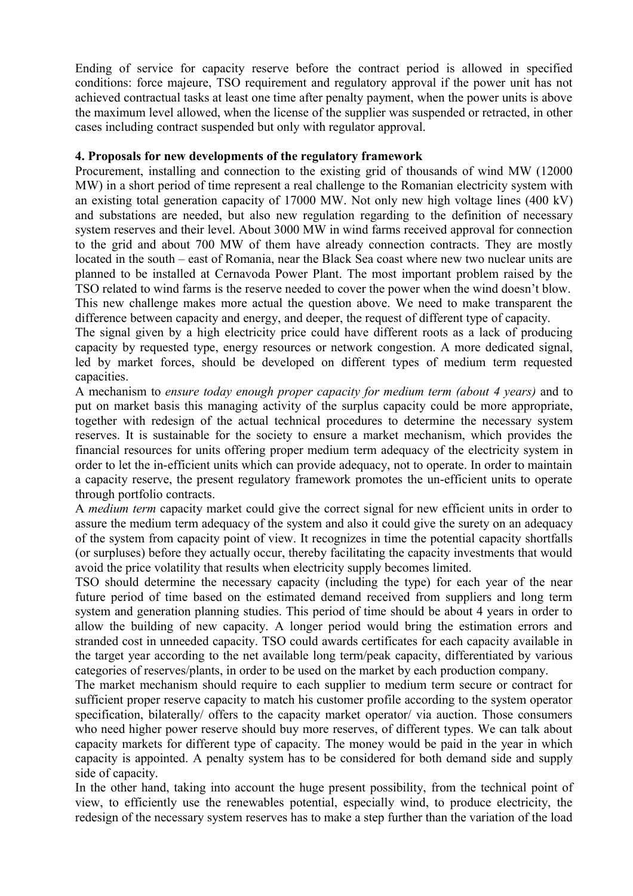Ending of service for capacity reserve before the contract period is allowed in specified conditions: force majeure, TSO requirement and regulatory approval if the power unit has not achieved contractual tasks at least one time after penalty payment, when the power units is above the maximum level allowed, when the license of the supplier was suspended or retracted, in other cases including contract suspended but only with regulator approval.

#### **4. Proposals for new developments of the regulatory framework**

Procurement, installing and connection to the existing grid of thousands of wind MW (12000 MW) in a short period of time represent a real challenge to the Romanian electricity system with an existing total generation capacity of 17000 MW. Not only new high voltage lines (400 kV) and substations are needed, but also new regulation regarding to the definition of necessary system reserves and their level. About 3000 MW in wind farms received approval for connection to the grid and about 700 MW of them have already connection contracts. They are mostly located in the south – east of Romania, near the Black Sea coast where new two nuclear units are planned to be installed at Cernavoda Power Plant. The most important problem raised by the TSO related to wind farms is the reserve needed to cover the power when the wind doesn't blow. This new challenge makes more actual the question above. We need to make transparent the

difference between capacity and energy, and deeper, the request of different type of capacity. The signal given by a high electricity price could have different roots as a lack of producing capacity by requested type, energy resources or network congestion. A more dedicated signal, led by market forces, should be developed on different types of medium term requested capacities.

A mechanism to *ensure today enough proper capacity for medium term (about 4 years)* and to put on market basis this managing activity of the surplus capacity could be more appropriate, together with redesign of the actual technical procedures to determine the necessary system reserves. It is sustainable for the society to ensure a market mechanism, which provides the financial resources for units offering proper medium term adequacy of the electricity system in order to let the in-efficient units which can provide adequacy, not to operate. In order to maintain a capacity reserve, the present regulatory framework promotes the un-efficient units to operate through portfolio contracts.

A *medium term* capacity market could give the correct signal for new efficient units in order to assure the medium term adequacy of the system and also it could give the surety on an adequacy of the system from capacity point of view. It recognizes in time the potential capacity shortfalls (or surpluses) before they actually occur, thereby facilitating the capacity investments that would avoid the price volatility that results when electricity supply becomes limited.

TSO should determine the necessary capacity (including the type) for each year of the near future period of time based on the estimated demand received from suppliers and long term system and generation planning studies. This period of time should be about 4 years in order to allow the building of new capacity. A longer period would bring the estimation errors and stranded cost in unneeded capacity. TSO could awards certificates for each capacity available in the target year according to the net available long term/peak capacity, differentiated by various categories of reserves/plants, in order to be used on the market by each production company.

The market mechanism should require to each supplier to medium term secure or contract for sufficient proper reserve capacity to match his customer profile according to the system operator specification, bilaterally/ offers to the capacity market operator/ via auction. Those consumers who need higher power reserve should buy more reserves, of different types. We can talk about capacity markets for different type of capacity. The money would be paid in the year in which capacity is appointed. A penalty system has to be considered for both demand side and supply side of capacity.

In the other hand, taking into account the huge present possibility, from the technical point of view, to efficiently use the renewables potential, especially wind, to produce electricity, the redesign of the necessary system reserves has to make a step further than the variation of the load